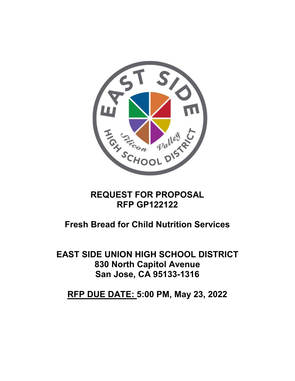

# **REQUEST FOR PROPOSAL RFP GP122122**

# **Fresh Bread for Child Nutrition Services**

**EAST SIDE UNION HIGH SCHOOL DISTRICT 830 North Capitol Avenue San Jose, CA 95133-1316**

**RFP DUE DATE: 5:00 PM, May 23, 2022**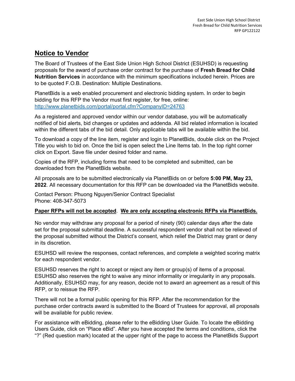### **Notice to Vendor**

The Board of Trustees of the East Side Union High School District (ESUHSD) is requesting proposals for the award of purchase order contract for the purchase of **Fresh Bread for Child Nutrition Services** in accordance with the minimum specifications included herein. Prices are to be quoted F.O.B. Destination: Multiple Destinations.

PlanetBids is a web enabled procurement and electronic bidding system. In order to begin bidding for this RFP the Vendor must first register, for free, online: <http://www.planetbids.com/portal/portal.cfm?CompanyID=24763>

As a registered and approved vendor within our vendor database, you will be automatically notified of bid alerts, bid changes or updates and addenda. All bid related information is located within the different tabs of the bid detail. Only applicable tabs will be available within the bid.

To download a copy of the line item, register and login to PlanetBids, double click on the Project Title you wish to bid on. Once the bid is open select the Line Items tab. In the top right corner click on Export. Save file under desired folder and name.

Copies of the RFP, including forms that need to be completed and submitted, can be downloaded from the PlanetBids website.

All proposals are to be submitted electronically via PlanetBids on or before **5:00 PM, May 23, 2022**. All necessary documentation for this RFP can be downloaded via the PlanetBids website.

Contact Person: Phuong Nguyen/Senior Contract Specialist Phone: 408-347-5073

#### **Paper RFPs will not be accepted**. **We are only accepting electronic RFPs via PlanetBids.**

No vendor may withdraw any proposal for a period of ninety (90) calendar days after the date set for the proposal submittal deadline. A successful respondent vendor shall not be relieved of the proposal submitted without the District's consent, which relief the District may grant or deny in its discretion.

ESUHSD will review the responses, contact references, and complete a weighted scoring matrix for each respondent vendor.

ESUHSD reserves the right to accept or reject any item or group(s) of items of a proposal. ESUHSD also reserves the right to waive any minor informality or irregularity in any proposals. Additionally, ESUHSD may, for any reason, decide not to award an agreement as a result of this RFP, or to reissue the RFP.

There will not be a formal public opening for this RFP. After the recommendation for the purchase order contracts award is submitted to the Board of Trustees for approval, all proposals will be available for public review.

For assistance with eBidding, please refer to the eBidding User Guide. To locate the eBidding Users Guide, click on "Place eBid". After you have accepted the terms and conditions, click the "?" (Red question mark) located at the upper right of the page to access the PlanetBids Support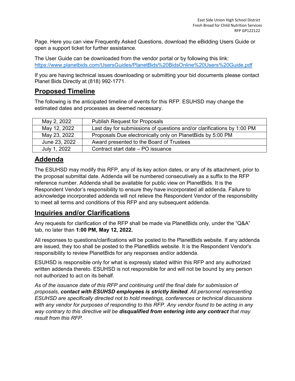Page. Here you can view Frequently Asked Questions, download the eBidding Users Guide or open a support ticket for further assistance.

The User Guide can be downloaded from the vendor portal or by following this link: <https://www.planetbids.com/UsersGuides/PlanetBids%20BidsOnline%20Users%20Guide.pdf>

If you are having technical issues downloading or submitting your bid documents please contact Planet Bids Directly at (818) 992-1771.

# **Proposed Timeline**

The following is the anticipated timeline of events for this RFP. ESUHSD may change the estimated dates and processes as deemed necessary.

| May 2, 2022   | <b>Publish Request for Proposals</b>                                   |
|---------------|------------------------------------------------------------------------|
| May 12, 2022  | Last day for submissions of questions and/or clarifications by 1:00 PM |
| May 23, 2022  | Proposals Due electronically only on PlanetBids by 5:00 PM             |
| June 23, 2022 | Award presented to the Board of Trustees                               |
| July 1, 2022  | Contract start date - PO issuance                                      |

# **Addenda**

The ESUHSD may modify this RFP, any of its key action dates, or any of its attachment, prior to the proposal submittal date. Addenda will be numbered consecutively as a suffix to the RFP reference number. Addenda shall be available for public view on PlanetBids. It is the Respondent Vendor's responsibility to ensure they have incorporated all addenda. Failure to acknowledge incorporated addenda will not relieve the Respondent Vendor of the responsibility to meet all terms and conditions of this RFP and any subsequent addenda.

### **Inquiries and/or Clarifications**

Any requests for clarification of the RFP shall be made via PlanetBids only, under the "Q&A" tab, no later than **1:00 PM, May 12, 2022.**

All responses to questions/clarifications will be posted to the PlanetBids website. If any addenda are issued, they too shall be posted to the PlanetBids website. It is the Respondent Vendor's responsibility to review PlanetBids for any responses and/or addenda.

ESUHSD is responsible only for what is expressly stated within this RFP and any authorized written addenda thereto. ESUHSD is not responsible for and will not be bound by any person not authorized to act on its behalf.

*As of the issuance date of this RFP and continuing until the final date for submission of proposals, contact with ESUHSD employees is strictly limited. All personnel representing ESUHSD are specifically directed not to hold meetings, conferences or technical discussions with any vendor for purposes of responding to this RFP. Any vendor found to be acting in any way contrary to this directive will be disqualified from entering into any contract that may result from this RFP.*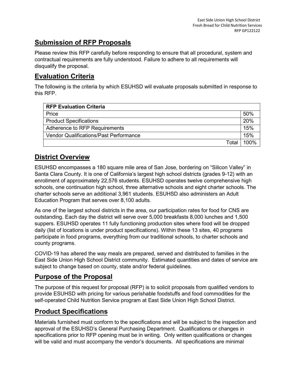# **Submission of RFP Proposals**

Please review this RFP carefully before responding to ensure that all procedural, system and contractual requirements are fully understood. Failure to adhere to all requirements will disqualify the proposal.

# **Evaluation Criteria**

The following is the criteria by which ESUHSD will evaluate proposals submitted in response to this RFP.

| <b>RFP Evaluation Criteria</b>                |      |  |  |
|-----------------------------------------------|------|--|--|
| Price                                         |      |  |  |
| <b>Product Specifications</b>                 |      |  |  |
| Adherence to RFP Requirements                 |      |  |  |
| <b>Vendor Qualifications/Past Performance</b> |      |  |  |
| Total                                         | 100% |  |  |

# **District Overview**

ESUHSD encompasses a 180 square mile area of San Jose, bordering on "Silicon Valley" in Santa Clara County. It is one of California's largest high school districts (grades 9-12) with an enrollment of approximately 22,576 students. ESUHSD operates twelve comprehensive high schools, one continuation high school, three alternative schools and eight charter schools. The charter schools serve an additional 3,961 students. ESUHSD also administers an Adult Education Program that serves over 8,100 adults.

As one of the largest school districts in the area, our participation rates for food for CNS are outstanding. Each day the district will serve over 5,000 breakfasts 8,000 lunches and 1,500 suppers. ESUHSD operates 11 fully functioning production sites where food will be dropped daily (list of locations is under product specifications). Within these 13 sites, 40 programs participate in food programs, everything from our traditional schools, to charter schools and county programs.

COVID-19 has altered the way meals are prepared, served and distributed to families in the East Side Union High School District community. Estimated quantities and dates of service are subject to change based on county, state and/or federal guidelines.

# **Purpose of the Proposal**

The purpose of this request for proposal (RFP) is to solicit proposals from qualified vendors to provide ESUHSD with pricing for various perishable foodstuffs and food commodities for the self-operated Child Nutrition Service program at East Side Union High School District.

# **Product Specifications**

Materials furnished must conform to the specifications and will be subject to the inspection and approval of the ESUHSD's General Purchasing Department. Qualifications or changes in specifications prior to RFP opening must be in writing. Only written qualifications or changes will be valid and must accompany the vendor's documents. All specifications are minimal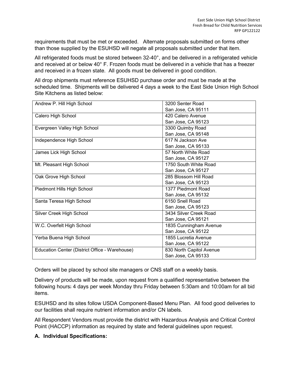requirements that must be met or exceeded. Alternate proposals submitted on forms other than those supplied by the ESUHSD will negate all proposals submitted under that item.

All refrigerated foods must be stored between 32-40°, and be delivered in a refrigerated vehicle and received at or below 40° F. Frozen foods must be delivered in a vehicle that has a freezer and received in a frozen state. All goods must be delivered in good condition.

All drop shipments must reference ESUHSD purchase order and must be made at the scheduled time. Shipments will be delivered 4 days a week to the East Side Union High School Site Kitchens as listed below:

| Andrew P. Hill High School                     | 3200 Senter Road         |
|------------------------------------------------|--------------------------|
|                                                | San Jose, CA 95111       |
| Calero High School                             | 420 Calero Avenue        |
|                                                | San Jose, CA 95123       |
| Evergreen Valley High School                   | 3300 Quimby Road         |
|                                                | San Jose, CA 95148       |
| Independence High School                       | 617 N Jackson Ave        |
|                                                | San Jose, CA 95133       |
| James Lick High School                         | 57 North White Road      |
|                                                | San Jose, CA 95127       |
| Mt. Pleasant High School                       | 1750 South White Road    |
|                                                | San Jose, CA 95127       |
| Oak Grove High School                          | 285 Blossom Hill Road    |
|                                                | San Jose, CA 95123       |
| Piedmont Hills High School                     | 1377 Piedmont Road       |
|                                                | San Jose, CA 95132       |
| Santa Teresa High School                       | 6150 Snell Road          |
|                                                | San Jose, CA 95123       |
| Silver Creek High School                       | 3434 Silver Creek Road   |
|                                                | San Jose, CA 95121       |
| W.C. Overfelt High School                      | 1835 Cunningham Avenue   |
|                                                | San Jose, CA 95122       |
| Yerba Buena High School                        | 1855 Lucretia Avenue     |
|                                                | San Jose, CA 95122       |
| Education Center (District Office - Warehouse) | 830 North Capitol Avenue |
|                                                | San Jose, CA 95133       |

Orders will be placed by school site managers or CNS staff on a weekly basis.

Delivery of products will be made, upon request from a qualified representative between the following hours: 4 days per week Monday thru Friday between 5:30am and 10:00am for all bid items.

ESUHSD and its sites follow USDA Component-Based Menu Plan. All food good deliveries to our facilities shall require nutrient information and/or CN labels.

All Respondent Vendors must provide the district with Hazardous Analysis and Critical Control Point (HACCP) information as required by state and federal guidelines upon request.

#### **A. Individual Specifications:**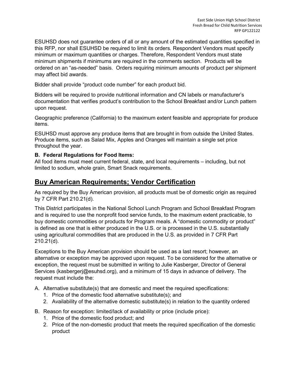ESUHSD does not guarantee orders of all or any amount of the estimated quantities specified in this RFP, nor shall ESUHSD be required to limit its orders. Respondent Vendors must specify minimum or maximum quantities or charges. Therefore, Respondent Vendors must state minimum shipments if minimums are required in the comments section. Products will be ordered on an "as-needed" basis. Orders requiring minimum amounts of product per shipment may affect bid awards.

Bidder shall provide "product code number" for each product bid.

Bidders will be required to provide nutritional information and CN labels or manufacturer's documentation that verifies product's contribution to the School Breakfast and/or Lunch pattern upon request.

Geographic preference (California) to the maximum extent feasible and appropriate for produce items.

ESUHSD must approve any produce items that are brought in from outside the United States. Produce items, such as Salad Mix, Apples and Oranges will maintain a single set price throughout the year.

#### **B. Federal Regulations for Food Items:**

All food items must meet current federal, state, and local requirements – including, but not limited to sodium, whole grain, Smart Snack requirements.

### **Buy American Requirements; Vendor Certification**

As required by the Buy American provision, all products must be of domestic origin as required by 7 CFR Part 210.21(d).

This District participates in the National School Lunch Program and School Breakfast Program and is required to use the nonprofit food service funds, to the maximum extent practicable, to buy domestic commodities or products for Program meals. A "domestic commodity or product" is defined as one that is either produced in the U.S. or is processed in the U.S. substantially using agricultural commodities that are produced in the U.S. as provided in 7 CFR Part 210.21(d).

Exceptions to the Buy American provision should be used as a last resort; however, an alternative or exception may be approved upon request. To be considered for the alternative or exception, the request must be submitted in writing to Julie Kasberger, Director of General Services (kasbergerj@esuhsd.org), and a minimum of 15 days in advance of delivery. The request must include the:

A. Alternative substitute(s) that are domestic and meet the required specifications:

- 1. Price of the domestic food alternative substitute(s); and
- 2. Availability of the alternative domestic substitute(s) in relation to the quantity ordered

B. Reason for exception: limited/lack of availability or price (include price):

- 1. Price of the domestic food product; and
- 2. Price of the non-domestic product that meets the required specification of the domestic product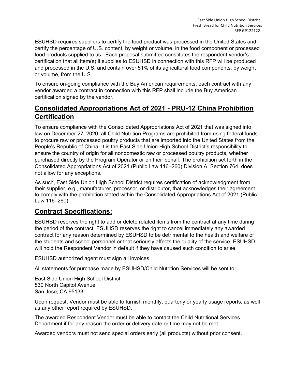ESUHSD requires suppliers to certify the food product was processed in the United States and certify the percentage of U.S. content, by weight or volume, in the food component or processed food products supplied to us. Each proposal submitted constitutes the respondent vendor's certification that all item(s) it supplies to ESUHSD in connection with this RFP will be produced and processed in the U.S. and contain over 51% of its agricultural food components, by weight or volume, from the U.S.

To ensure on-going compliance with the Buy American requirements, each contract with any vendor awarded a contract in connection with this RFP shall include the Buy American certification signed by the vendor.

## **Consolidated Appropriations Act of 2021 - PRU-12 China Prohibition Certification**

To ensure compliance with the Consolidated Appropriations Act of 2021 that was signed into law on December 27, 2020, all Child Nutrition Programs are prohibited from using federal funds to procure raw or processed poultry products that are imported into the United States from the People's Republic of China. It is the East Side Union High School District's responsibility to ensure the country of origin for all nondomestic raw or processed poultry products, whether purchased directly by the Program Operator or on their behalf. The prohibition set forth in the Consolidated Appropriations Act of 2021 (Public Law 116–260) Division A, Section 764, does not allow for any exceptions.

As such, East Side Union High School District requires certification of acknowledgment from their supplier, e.g., manufacturer, processor, or distributor, that acknowledges their agreement to comply with the prohibition stated within the Consolidated Appropriations Act of 2021 (Public Law 116–260).

### **Contract Specifications:**

ESUHSD reserves the right to add or delete related items from the contract at any time during the period of the contract. ESUHSD reserves the right to cancel immediately any awarded contract for any reason determined by ESUHSD to be detrimental to the health and welfare of the students and school personnel or that seriously affects the quality of the service. ESUHSD will hold the Respondent Vendor in default if they have caused such condition to arise.

ESUHSD authorized agent must sign all invoices.

All statements for purchase made by ESUHSD/Child Nutrition Services will be sent to:

East Side Union High School District 830 North Capitol Avenue San Jose, CA 95133

Upon request, Vendor must be able to furnish monthly, quarterly or yearly usage reports, as well as any other report required by ESUHSD.

The awarded Respondent Vendor must be able to contact the Child Nutritional Services Department if for any reason the order or delivery date or time may not be met.

Awarded vendors must not send special orders early (all products) without prior consent.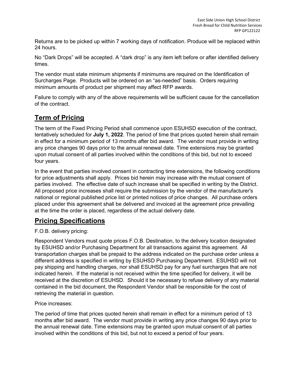Returns are to be picked up within 7 working days of notification. Produce will be replaced within 24 hours.

No "Dark Drops" will be accepted. A "dark drop" is any item left before or after identified delivery times.

The vendor must state minimum shipments if minimums are required on the Identification of Surcharges Page. Products will be ordered on an "as-needed" basis. Orders requiring minimum amounts of product per shipment may affect RFP awards.

Failure to comply with any of the above requirements will be sufficient cause for the cancellation of the contract.

# **Term of Pricing**

The term of the Fixed Pricing Period shall commence upon ESUHSD execution of the contract, tentatively scheduled for **July 1, 2022**. The period of time that prices quoted herein shall remain in effect for a minimum period of 13 months after bid award. The vendor must provide in writing any price changes 90 days prior to the annual renewal date. Time extensions may be granted upon mutual consent of all parties involved within the conditions of this bid, but not to exceed four years.

In the event that parties involved consent in contracting time extensions, the following conditions for price adjustments shall apply. Prices bid herein may increase with the mutual consent of parties involved. The effective date of such increase shall be specified in writing by the District. All proposed price increases shall require the submission by the vendor of the manufacturer's national or regional published price list or printed notices of price changes. All purchase orders placed under this agreement shall be delivered and invoiced at the agreement price prevailing at the time the order is placed, regardless of the actual delivery date.

### **Pricing Specifications**

#### F.O.B. delivery pricing:

Respondent Vendors must quote prices F.O.B. Destination, to the delivery location designated by ESUHSD and/or Purchasing Department for all transactions against this agreement. All transportation charges shall be prepaid to the address indicated on the purchase order unless a different address is specified in writing by ESUHSD Purchasing Department. ESUHSD will not pay shipping and handling charges, nor shall ESUHSD pay for any fuel surcharges that are not indicated herein. If the material is not received within the time specified for delivery, it will be received at the discretion of ESUHSD. Should it be necessary to refuse delivery of any material contained in the bid document, the Respondent Vendor shall be responsible for the cost of retrieving the material in question.

Price increases:

The period of time that prices quoted herein shall remain in effect for a minimum period of 13 months after bid award. The vendor must provide in writing any price changes 90 days prior to the annual renewal date. Time extensions may be granted upon mutual consent of all parties involved within the conditions of this bid, but not to exceed a period of four years.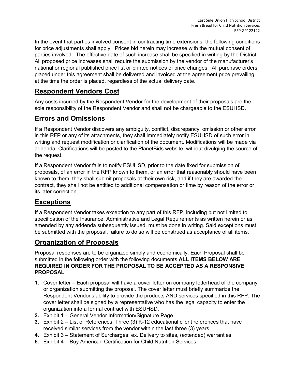In the event that parties involved consent in contracting time extensions, the following conditions for price adjustments shall apply. Prices bid herein may increase with the mutual consent of parties involved. The effective date of such increase shall be specified in writing by the District. All proposed price increases shall require the submission by the vendor of the manufacturer's national or regional published price list or printed notices of price changes. All purchase orders placed under this agreement shall be delivered and invoiced at the agreement price prevailing at the time the order is placed, regardless of the actual delivery date.

# **Respondent Vendors Cost**

Any costs incurred by the Respondent Vendor for the development of their proposals are the sole responsibility of the Respondent Vendor and shall not be chargeable to the ESUHSD.

# **Errors and Omissions**

If a Respondent Vendor discovers any ambiguity, conflict, discrepancy, omission or other error in this RFP or any of its attachments, they shall immediately notify ESUHSD of such error in writing and request modification or clarification of the document. Modifications will be made via addenda. Clarifications will be posted to the PlanetBids website, without divulging the source of the request.

If a Respondent Vendor fails to notify ESUHSD, prior to the date fixed for submission of proposals, of an error in the RFP known to them, or an error that reasonably should have been known to them, they shall submit proposals at their own risk, and if they are awarded the contract, they shall not be entitled to additional compensation or time by reason of the error or its later correction.

# **Exceptions**

If a Respondent Vendor takes exception to any part of this RFP, including but not limited to specification of the Insurance, Administrative and Legal Requirements as written herein or as amended by any addenda subsequently issued, must be done in writing. Said exceptions must be submitted with the proposal, failure to do so will be construed as acceptance of all items.

### **Organization of Proposals**

Proposal responses are to be organized simply and economically. Each Proposal shall be submitted in the following order with the following documents **ALL ITEMS BELOW ARE REQUIRED IN ORDER FOR THE PROPOSAL TO BE ACCEPTED AS A RESPONSIVE PROPOSAL**:

- **1.** Cover letter Each proposal will have a cover letter on company letterhead of the company or organization submitting the proposal. The cover letter must briefly summarize the Respondent Vendor's ability to provide the products AND services specified in this RFP. The cover letter shall be signed by a representative who has the legal capacity to enter the organization into a formal contract with ESUHSD.
- **2.** Exhibit 1 General Vendor Information/Signature Page
- **3.** Exhibit 2 List of References: Three (3) K-12 educational client references that have received similar services from the vendor within the last three (3) years.
- **4.** Exhibit 3 Statement of Surcharges: ex. Delivery to sites, (extended) warranties
- **5.** Exhibit 4 Buy American Certification for Child Nutrition Services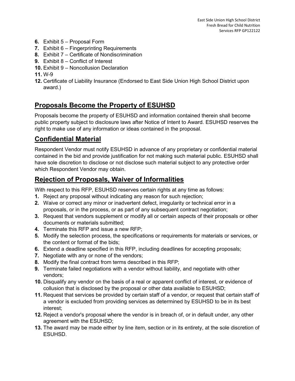- **6.** Exhibit 5 Proposal Form
- **7.** Exhibit 6 Fingerprinting Requirements
- **8.** Exhibit 7 Certificate of Nondiscrimination
- **9.** Exhibit 8 Conflict of Interest
- **10.** Exhibit 9 Noncollusion Declaration

#### **11.** W-9

**12.** Certificate of Liability Insurance (Endorsed to East Side Union High School District upon award.)

# **Proposals Become the Property of ESUHSD**

Proposals become the property of ESUHSD and information contained therein shall become public property subject to disclosure laws after Notice of Intent to Award. ESUHSD reserves the right to make use of any information or ideas contained in the proposal.

## **Confidential Material**

Respondent Vendor must notify ESUHSD in advance of any proprietary or confidential material contained in the bid and provide justification for not making such material public. ESUHSD shall have sole discretion to disclose or not disclose such material subject to any protective order which Respondent Vendor may obtain.

# **Rejection of Proposals, Waiver of Informalities**

With respect to this RFP, ESUHSD reserves certain rights at any time as follows:

- **1.** Reject any proposal without indicating any reason for such rejection;
- **2.** Waive or correct any minor or inadvertent defect, irregularity or technical error in a proposals, or in the process, or as part of any subsequent contract negotiation;
- **3.** Request that vendors supplement or modify all or certain aspects of their proposals or other documents or materials submitted;
- **4.** Terminate this RFP and issue a new RFP;
- **5.** Modify the selection process, the specifications or requirements for materials or services, or the content or format of the bids;
- **6.** Extend a deadline specified in this RFP, including deadlines for accepting proposals;
- **7.** Negotiate with any or none of the vendors;
- **8.** Modify the final contract from terms described in this RFP;
- **9.** Terminate failed negotiations with a vendor without liability, and negotiate with other vendors;
- **10.** Disqualify any vendor on the basis of a real or apparent conflict of interest, or evidence of collusion that is disclosed by the proposal or other data available to ESUHSD;
- **11.** Request that services be provided by certain staff of a vendor, or request that certain staff of a vendor is excluded from providing services as determined by ESUHSD to be in its best interest;
- **12.** Reject a vendor's proposal where the vendor is in breach of, or in default under, any other agreement with the ESUHSD;
- **13.** The award may be made either by line item, section or in its entirety, at the sole discretion of ESUHSD.